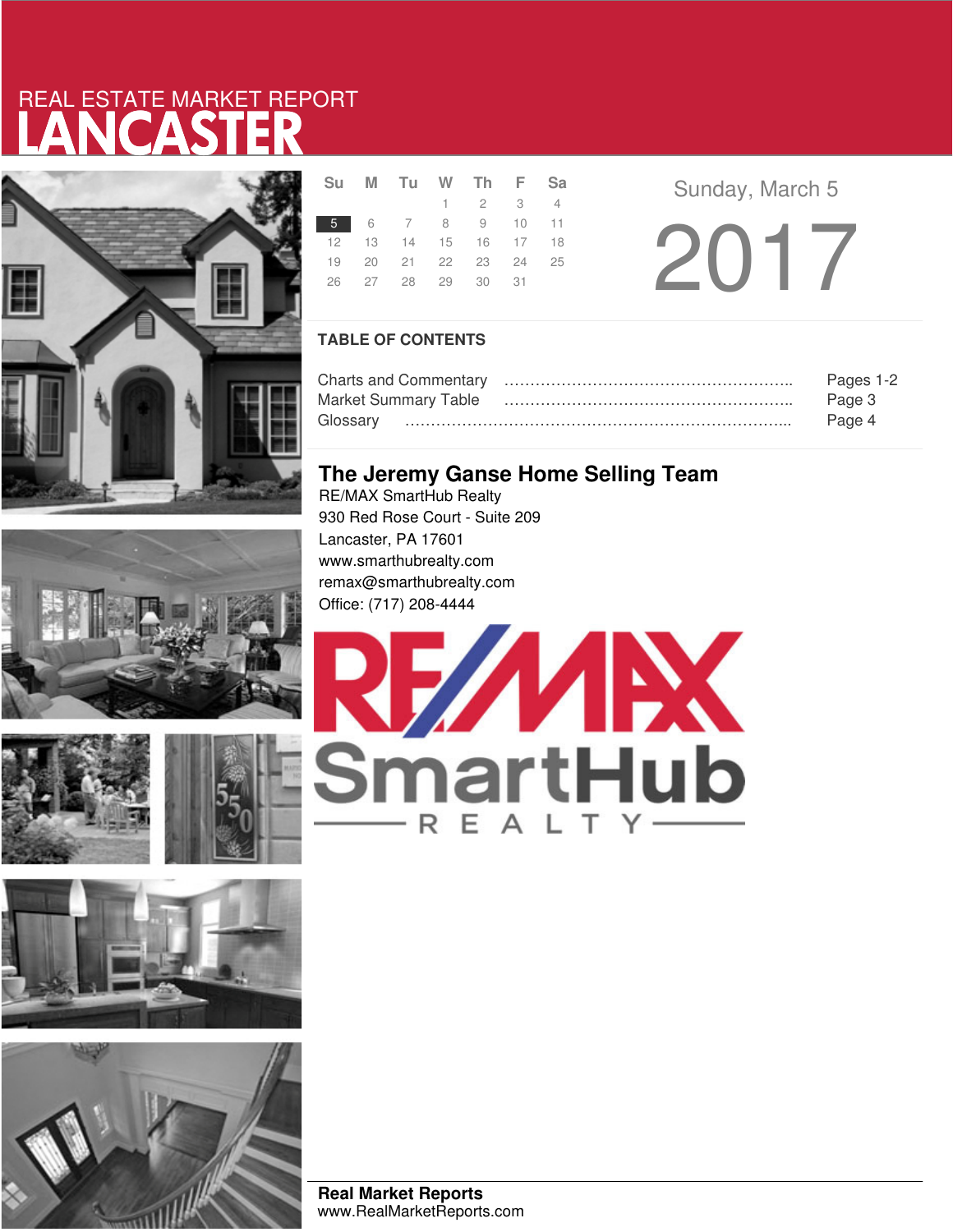# LANCASTER REAL ESTATE MARKET REPORT



|    |  | OU IVI IU VV III F OC       |  |
|----|--|-----------------------------|--|
|    |  | $1 \quad 2 \quad 3 \quad 4$ |  |
|    |  | 5 6 7 8 9 10 11             |  |
|    |  | 12  13  14  15  16  17  18  |  |
|    |  | 19 20 21 22 23 24 25        |  |
| 26 |  | 27 28 29 30 31              |  |
|    |  |                             |  |

**Su <sup>M</sup> Tu <sup>W</sup> Th <sup>F</sup> Sa** Sunday, March 5  $5 - 2017$ 

### **TABLE OF CONTENTS**

|                             | Pages 1-2 |
|-----------------------------|-----------|
| <b>Market Summary Table</b> | Page 3    |
|                             | Page 4    |

### **The Jeremy Ganse Home Selling Team**

RE/MAX SmartHub Realty 930 Red Rose Court - Suite 209 Lancaster, PA 17601 www.smarthubrealty.com remax@smarthubrealty.com Office: (717) 208-4444









**Real Market Reports** www.RealMarketReports.com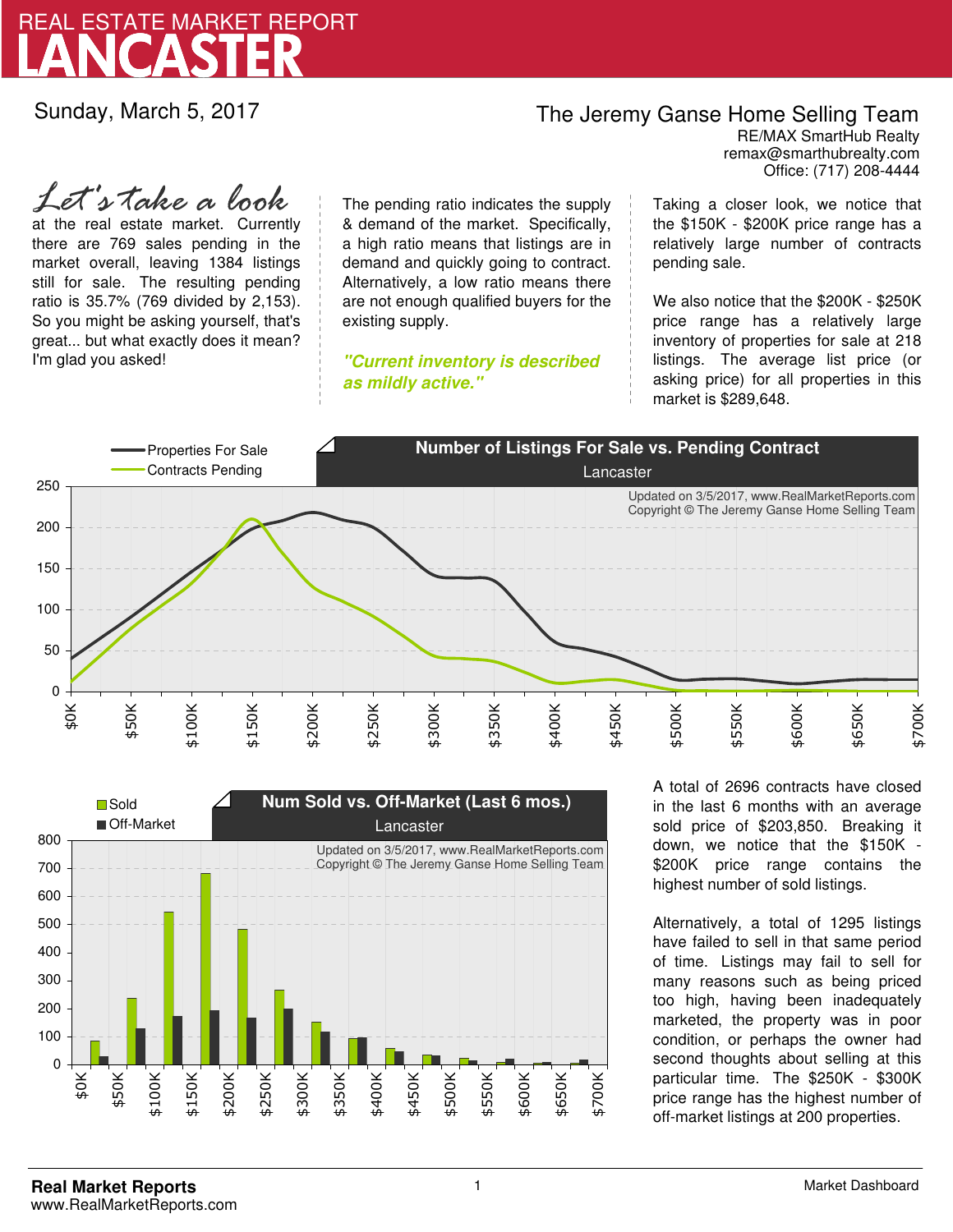

Sunday, March 5, 2017

### The Jeremy Ganse Home Selling Team

remax@smarthubrealty.com RE/MAX SmartHub Realty Office: (717) 208-4444

at the real estate market. Currently there are 769 sales pending in the market overall, leaving 1384 listings still for sale. The resulting pending ratio is 35.7% (769 divided by 2,153). So you might be asking yourself, that's great... but what exactly does it mean? I'm glad you asked! *Let's take a look*

The pending ratio indicates the supply & demand of the market. Specifically, a high ratio means that listings are in demand and quickly going to contract. Alternatively, a low ratio means there are not enough qualified buyers for the existing supply.

**"Current inventory is described as mildly active."**

Taking a closer look, we notice that the \$150K - \$200K price range has a relatively large number of contracts pending sale.

We also notice that the \$200K - \$250K price range has a relatively large inventory of properties for sale at 218 listings. The average list price (or asking price) for all properties in this market is \$289,648.





A total of 2696 contracts have closed in the last 6 months with an average sold price of \$203,850. Breaking it down, we notice that the \$150K - \$200K price range contains the highest number of sold listings.

Alternatively, a total of 1295 listings have failed to sell in that same period of time. Listings may fail to sell for many reasons such as being priced too high, having been inadequately marketed, the property was in poor condition, or perhaps the owner had second thoughts about selling at this particular time. The \$250K - \$300K price range has the highest number of off-market listings at 200 properties.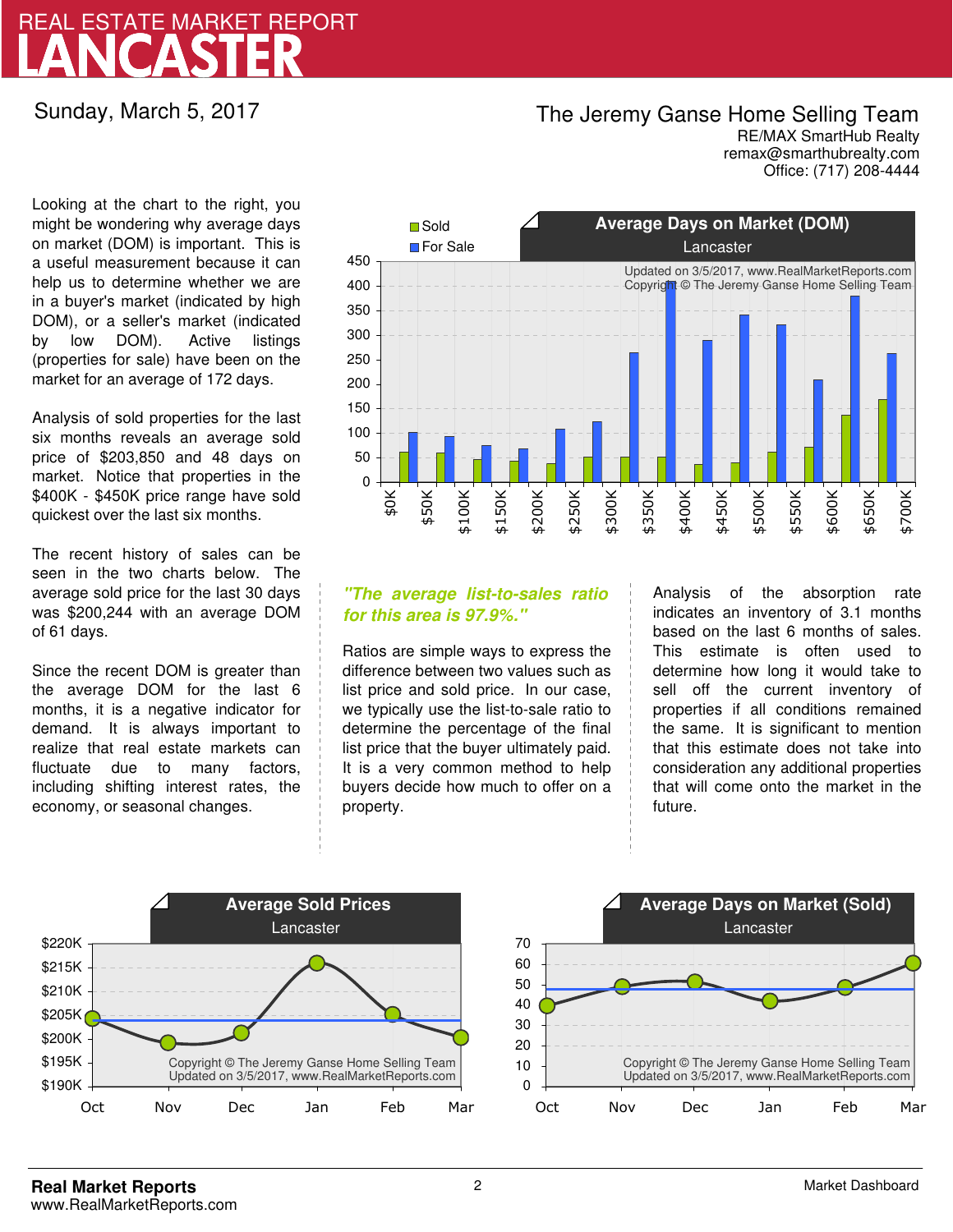## LANCASTER REAL ESTATE MARKET REPORT

Sunday, March 5, 2017

### The Jeremy Ganse Home Selling Team

remax@smarthubrealty.com RE/MAX SmartHub Realty Office: (717) 208-4444

Looking at the chart to the right, you might be wondering why average days on market (DOM) is important. This is a useful measurement because it can help us to determine whether we are in a buyer's market (indicated by high DOM), or a seller's market (indicated by low DOM). Active listings (properties for sale) have been on the market for an average of 172 days.

Analysis of sold properties for the last six months reveals an average sold price of \$203,850 and 48 days on market. Notice that properties in the \$400K - \$450K price range have sold quickest over the last six months.

The recent history of sales can be seen in the two charts below. The average sold price for the last 30 days was \$200,244 with an average DOM of 61 days.

Since the recent DOM is greater than the average DOM for the last 6 months, it is a negative indicator for demand. It is always important to realize that real estate markets can fluctuate due to many factors, including shifting interest rates, the economy, or seasonal changes.



### **"The average list-to-sales ratio for this area is 97.9%."**

Ratios are simple ways to express the difference between two values such as list price and sold price. In our case, we typically use the list-to-sale ratio to determine the percentage of the final list price that the buyer ultimately paid. It is a very common method to help buyers decide how much to offer on a property.

Analysis of the absorption rate indicates an inventory of 3.1 months based on the last 6 months of sales. This estimate is often used to determine how long it would take to sell off the current inventory of properties if all conditions remained the same. It is significant to mention that this estimate does not take into consideration any additional properties that will come onto the market in the future.



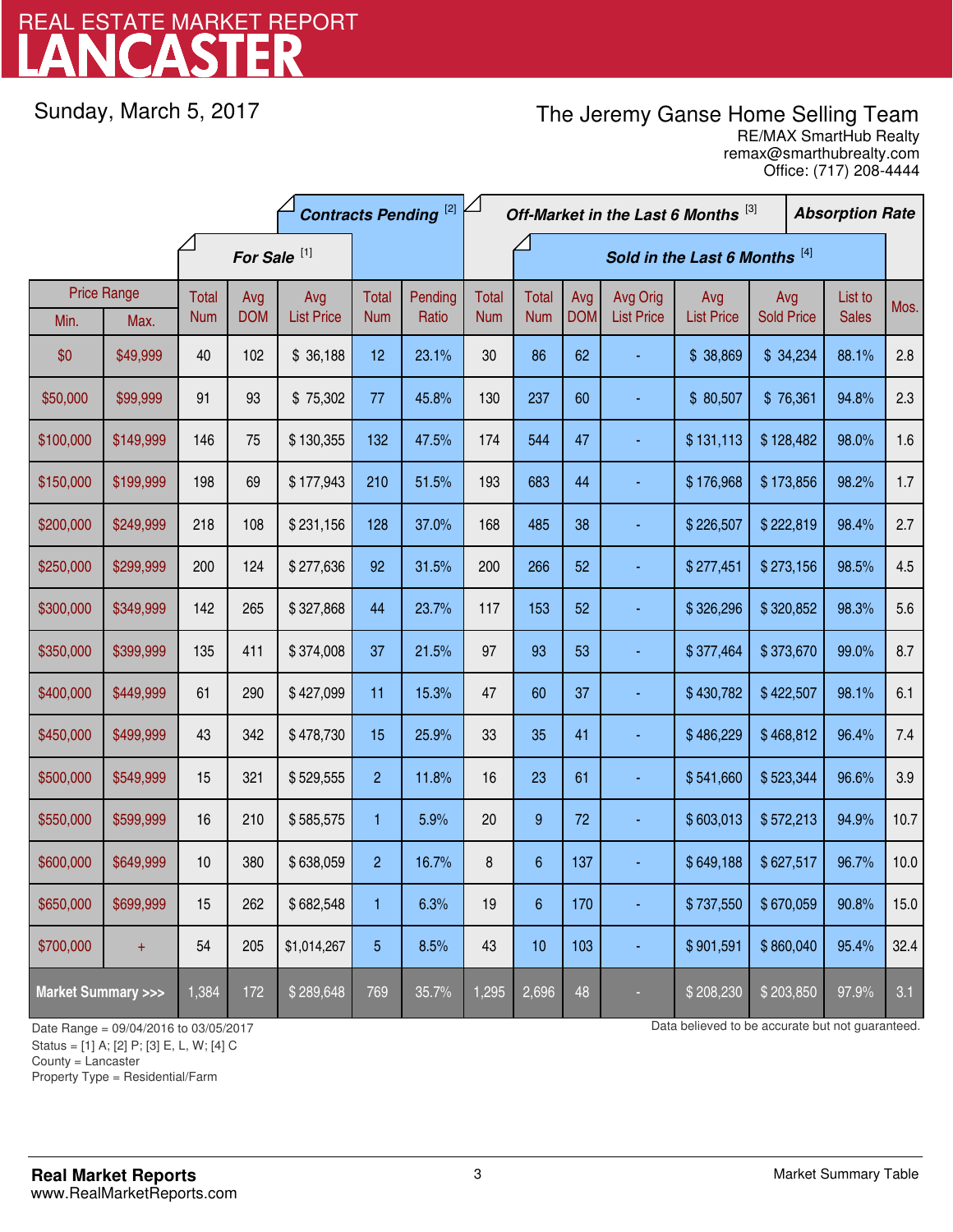# LANCASTER REAL ESTATE MARKET REPORT

Sunday, March 5, 2017

### The Jeremy Ganse Home Selling Team

remax@smarthubrealty.com RE/MAX SmartHub Realty Office: (717) 208-4444

| <b>Contracts Pending [2]</b>       |           |            |                         |                   |                |         | Off-Market in the Last 6 Months [3]<br><b>Absorption Rate</b> |                  |            |                   |                   |                   |  |              |      |
|------------------------------------|-----------|------------|-------------------------|-------------------|----------------|---------|---------------------------------------------------------------|------------------|------------|-------------------|-------------------|-------------------|--|--------------|------|
|                                    |           |            | For Sale <sup>[1]</sup> |                   |                |         | Sold in the Last 6 Months [4]                                 |                  |            |                   |                   |                   |  |              |      |
| <b>Price Range</b>                 |           | Total      | Avg                     | Avg               | Total          | Pending | <b>Total</b>                                                  | <b>Total</b>     | Avg        | Avg Orig          | Avg               | Avg               |  | List to      | Mos. |
| Min.                               | Max.      | <b>Num</b> | <b>DOM</b>              | <b>List Price</b> | <b>Num</b>     | Ratio   | <b>Num</b>                                                    | <b>Num</b>       | <b>DOM</b> | <b>List Price</b> | <b>List Price</b> | <b>Sold Price</b> |  | <b>Sales</b> |      |
| \$0                                | \$49,999  | 40         | 102                     | \$36,188          | 12             | 23.1%   | 30                                                            | 86               | 62         |                   | \$38,869          | \$34,234          |  | 88.1%        | 2.8  |
| \$50,000                           | \$99,999  | 91         | 93                      | \$75,302          | 77             | 45.8%   | 130                                                           | 237              | 60         |                   | \$80,507          | \$76,361          |  | 94.8%        | 2.3  |
| \$100,000                          | \$149,999 | 146        | 75                      | \$130,355         | 132            | 47.5%   | 174                                                           | 544              | 47         |                   | \$131,113         | \$128,482         |  | 98.0%        | 1.6  |
| \$150,000                          | \$199,999 | 198        | 69                      | \$177,943         | 210            | 51.5%   | 193                                                           | 683              | 44         |                   | \$176,968         | \$173,856         |  | 98.2%        | 1.7  |
| \$200,000                          | \$249,999 | 218        | 108                     | \$231,156         | 128            | 37.0%   | 168                                                           | 485              | 38         |                   | \$226,507         | \$222,819         |  | 98.4%        | 2.7  |
| \$250,000                          | \$299,999 | 200        | 124                     | \$277,636         | 92             | 31.5%   | 200                                                           | 266              | 52         |                   | \$277,451         | \$273,156         |  | 98.5%        | 4.5  |
| \$300,000                          | \$349,999 | 142        | 265                     | \$327,868         | 44             | 23.7%   | 117                                                           | 153              | 52         |                   | \$326,296         | \$320,852         |  | 98.3%        | 5.6  |
| \$350,000                          | \$399,999 | 135        | 411                     | \$374,008         | 37             | 21.5%   | 97                                                            | 93               | 53         |                   | \$377,464         | \$373,670         |  | 99.0%        | 8.7  |
| \$400,000                          | \$449,999 | 61         | 290                     | \$427,099         | 11             | 15.3%   | 47                                                            | 60               | 37         |                   | \$430,782         | \$422,507         |  | 98.1%        | 6.1  |
| \$450,000                          | \$499,999 | 43         | 342                     | \$478,730         | 15             | 25.9%   | 33                                                            | 35               | 41         |                   | \$486,229         | \$468,812         |  | 96.4%        | 7.4  |
| \$500,000                          | \$549,999 | 15         | 321                     | \$529,555         | $\overline{2}$ | 11.8%   | 16                                                            | 23               | 61         |                   | \$541,660         | \$523,344         |  | 96.6%        | 3.9  |
| \$550,000                          | \$599,999 | 16         | 210                     | \$585,575         | 1              | 5.9%    | 20                                                            | $\boldsymbol{9}$ | 72         |                   | \$603,013         | \$572,213         |  | 94.9%        | 10.7 |
| \$600,000                          | \$649,999 | 10         | 380                     | \$638,059         | $\overline{2}$ | 16.7%   | 8                                                             | $\boldsymbol{6}$ | 137        |                   | \$649,188         | \$627,517         |  | 96.7%        | 10.0 |
| \$650,000                          | \$699,999 | 15         | 262                     | \$682,548         | 1              | 6.3%    | 19                                                            | $6\,$            | 170        |                   | \$737,550         | \$670,059         |  | 90.8%        | 15.0 |
| \$700,000                          | $+$       | 54         | 205                     | \$1,014,267       | 5              | 8.5%    | 43                                                            | 10               | 103        | Ξ                 | \$901,591         | \$860,040         |  | 95.4%        | 32.4 |
| <b>Market Summary &gt;&gt;&gt;</b> |           | 1,384      | 172                     | \$289,648         | 769            | 35.7%   | 1,295                                                         | 2,696            | 48         |                   | \$208,230         | \$203,850         |  | 97.9%        | 3.1  |

Status = [1] A; [2] P; [3] E, L, W; [4] C

County = Lancaster

-

Property Type = Residential/Farm

Date Range = 09/04/2016 to 03/05/2017 Data believed to be accurate but not guaranteed.